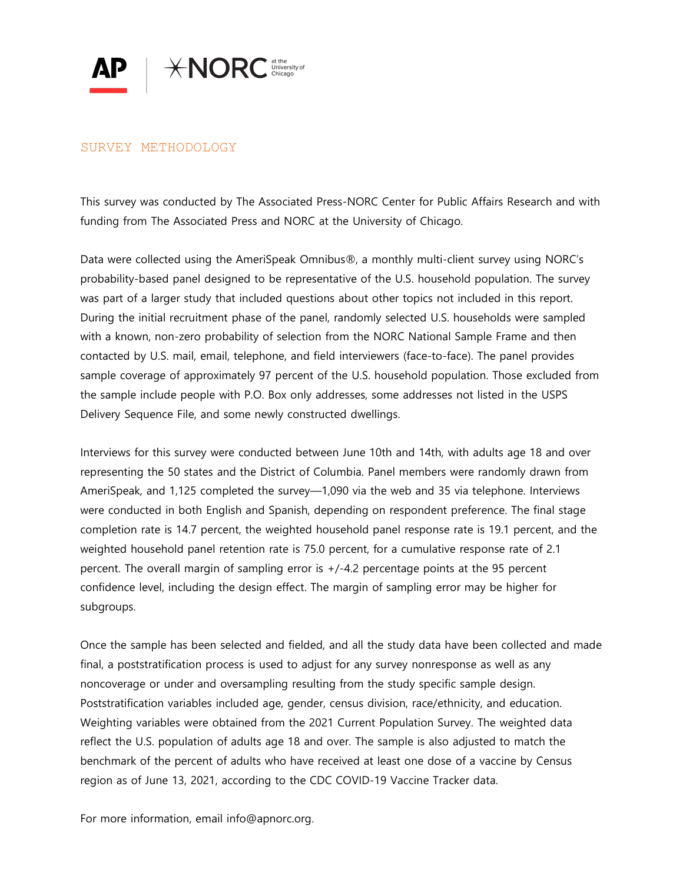

## SURVEY METHODOLOGY

This survey was conducted by The Associated Press-NORC Center for Public Affairs Research and with funding from The Associated Press and NORC at the University of Chicago.

Data were collected using the AmeriSpeak Omnibus®, a monthly multi-client survey using NORC's probability-based panel designed to be representative of the U.S. household population. The survey was part of a larger study that included questions about other topics not included in this report. During the initial recruitment phase of the panel, randomly selected U.S. households were sampled with a known, non-zero probability of selection from the NORC National Sample Frame and then contacted by U.S. mail, email, telephone, and field interviewers (face-to-face). The panel provides sample coverage of approximately 97 percent of the U.S. household population. Those excluded from the sample include people with P.O. Box only addresses, some addresses not listed in the USPS Delivery Sequence File, and some newly constructed dwellings.

Interviews for this survey were conducted between June 10th and 14th, with adults age 18 and over representing the 50 states and the District of Columbia. Panel members were randomly drawn from AmeriSpeak, and 1,125 completed the survey—1,090 via the web and 35 via telephone. Interviews were conducted in both English and Spanish, depending on respondent preference. The final stage completion rate is 14.7 percent, the weighted household panel response rate is 19.1 percent, and the weighted household panel retention rate is 75.0 percent, for a cumulative response rate of 2.1 percent. The overall margin of sampling error is +/-4.2 percentage points at the 95 percent confidence level, including the design effect. The margin of sampling error may be higher for subgroups.

Once the sample has been selected and fielded, and all the study data have been collected and made final, a poststratification process is used to adjust for any survey nonresponse as well as any noncoverage or under and oversampling resulting from the study specific sample design. Poststratification variables included age, gender, census division, race/ethnicity, and education. Weighting variables were obtained from the 2021 Current Population Survey. The weighted data reflect the U.S. population of adults age 18 and over. The sample is also adjusted to match the benchmark of the percent of adults who have received at least one dose of a vaccine by Census region as of June 13, 2021, according to the CDC COVID-19 Vaccine Tracker data.

For more information, email info@apnorc.org.